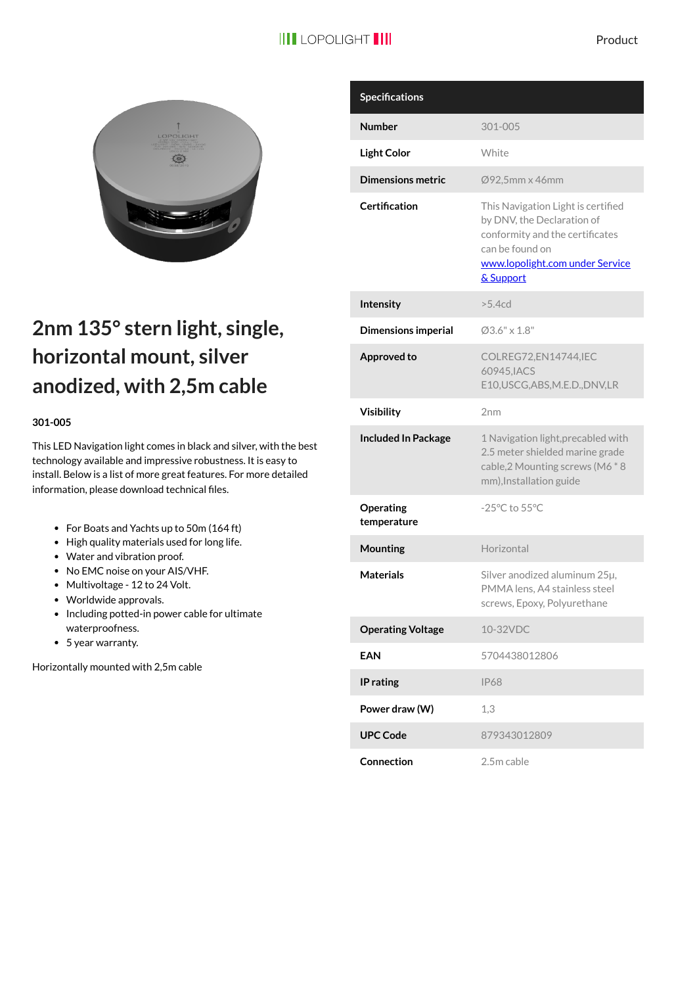

## **2nm 135° stern light, single, horizontal mount, silver anodized, with 2,5m cable**

## **301-005**

This LED Navigation light comes in black and silver, with the best technology available and impressive robustness. It is easy to install. Below is a list of more great features. For more detailed information, please download technical files.

- For Boats and Yachts up to 50m (164 ft)
- High quality materials used for long life.
- Water and vibration proof.
- No EMC noise on your AIS/VHF.
- Multivoltage 12 to 24 Volt.
- Worldwide approvals.
- Including potted-in power cable for ultimate waterproofness.
- 5 year warranty.

Horizontally mounted with 2,5m cable

| <b>Specifications</b>      |                                                                                                                                                                        |
|----------------------------|------------------------------------------------------------------------------------------------------------------------------------------------------------------------|
| <b>Number</b>              | 301-005                                                                                                                                                                |
| <b>Light Color</b>         | White                                                                                                                                                                  |
| <b>Dimensions metric</b>   | Ø92,5mm x 46mm                                                                                                                                                         |
| Certification              | This Navigation Light is certified<br>by DNV, the Declaration of<br>conformity and the certificates<br>can be found on<br>www.lopolight.com under Service<br>& Support |
| Intensity                  | >5.4 <sub>cd</sub>                                                                                                                                                     |
| <b>Dimensions imperial</b> | $03.6" \times 1.8"$                                                                                                                                                    |
| Approved to                | COLREG72,EN14744,IEC<br>60945.IACS<br>E10, USCG, ABS, M.E.D., DNV, LR                                                                                                  |
| <b>Visibility</b>          | 2 <sub>nm</sub>                                                                                                                                                        |
| <b>Included In Package</b> | 1 Navigation light, precabled with<br>2.5 meter shielded marine grade<br>cable, 2 Mounting screws (M6 * 8<br>mm), Installation guide                                   |
| Operating<br>temperature   | -25°C to 55°C                                                                                                                                                          |
| Mounting                   | Horizontal                                                                                                                                                             |
| <b>Materials</b>           | Silver anodized aluminum 25µ,<br>PMMA lens, A4 stainless steel<br>screws, Epoxy, Polyurethane                                                                          |
| <b>Operating Voltage</b>   | 10-32VDC                                                                                                                                                               |
| <b>EAN</b>                 | 5704438012806                                                                                                                                                          |
| IP rating                  | <b>IP68</b>                                                                                                                                                            |
| Power draw (W)             | 1,3                                                                                                                                                                    |
| <b>UPC Code</b>            | 879343012809                                                                                                                                                           |
| Connection                 | 2.5m cable                                                                                                                                                             |